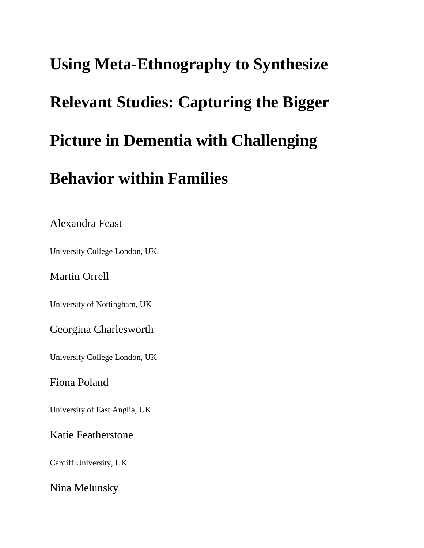# **Using Meta-Ethnography to Synthesize Relevant Studies: Capturing the Bigger Picture in Dementia with Challenging Behavior within Families**

Alexandra Feast

University College London, UK.

Martin Orrell

University of Nottingham, UK

Georgina Charlesworth

University College London, UK

Fiona Poland

University of East Anglia, UK

Katie Featherstone

Cardiff University, UK

Nina Melunsky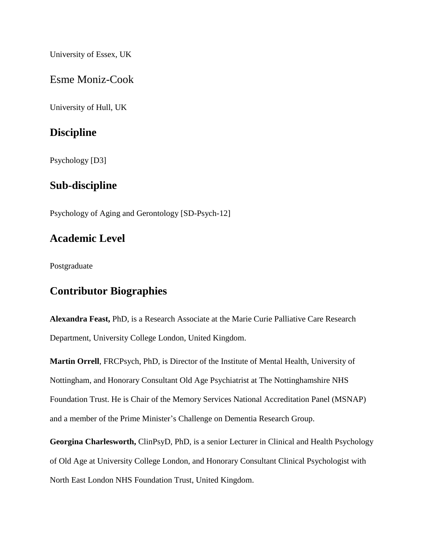University of Essex, UK

Esme Moniz-Cook

University of Hull, UK

## **Discipline**

Psychology [D3]

## **Sub-discipline**

Psychology of Aging and Gerontology [SD-Psych-12]

## **Academic Level**

Postgraduate

## **Contributor Biographies**

**Alexandra Feast,** PhD, is a Research Associate at the Marie Curie Palliative Care Research Department, University College London, United Kingdom.

**Martin Orrell**, FRCPsych, PhD, is Director of the Institute of Mental Health, University of Nottingham, and Honorary Consultant Old Age Psychiatrist at The Nottinghamshire NHS Foundation Trust. He is Chair of the Memory Services National Accreditation Panel (MSNAP) and a member of the Prime Minister's Challenge on Dementia Research Group.

**Georgina Charlesworth,** ClinPsyD, PhD, is a senior Lecturer in Clinical and Health Psychology of Old Age at University College London, and Honorary Consultant Clinical Psychologist with North East London NHS Foundation Trust, United Kingdom.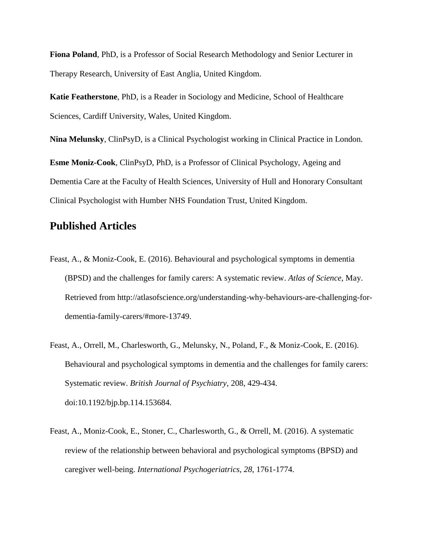**Fiona Poland**, PhD, is a Professor of Social Research Methodology and Senior Lecturer in Therapy Research, University of East Anglia, United Kingdom.

**Katie Featherstone**, PhD, is a Reader in Sociology and Medicine, School of Healthcare Sciences, Cardiff University, Wales, United Kingdom.

**Nina Melunsky**, ClinPsyD, is a Clinical Psychologist working in Clinical Practice in London. **Esme Moniz-Cook**, ClinPsyD, PhD, is a Professor of Clinical Psychology, Ageing and Dementia Care at the Faculty of Health Sciences, University of Hull and Honorary Consultant Clinical Psychologist with Humber NHS Foundation Trust, United Kingdom.

## **Published Articles**

- Feast, A., & Moniz-Cook, E. (2016). Behavioural and psychological symptoms in dementia (BPSD) and the challenges for family carers: A systematic review. *Atlas of Science*, [May.](http://atlasofscience.org/understanding-why-behaviours-are-challenging-for-dementia-family-carers/#more-13749) Retrieved from [http://atlasofscience.org/understanding-why-behaviours-are-challenging-for](http://atlasofscience.org/understanding-why-behaviours-are-challenging-for-dementia-family-carers/#more-13749)[dementia-family-carers/#more-13749.](http://atlasofscience.org/understanding-why-behaviours-are-challenging-for-dementia-family-carers/#more-13749)
- <span id="page-2-1"></span>Feast, A., Orrell, M., Charlesworth, G., Melunsky, N., Poland, F., & Moniz-Cook, E. (2016). Behavioural and psychological symptoms in dementia and the challenges for family carers: Systematic review. *British Journal of Psychiatry*, 208, 429-434. doi:10.1192/bjp.bp.114.153684.
- <span id="page-2-0"></span>Feast, A., Moniz-Cook, E., Stoner, C., Charlesworth, G., & Orrell, M. (2016). A systematic review of the relationship between behavioral and psychological symptoms (BPSD) and caregiver well-being. *International Psychogeriatrics, 28*, 1761-1774.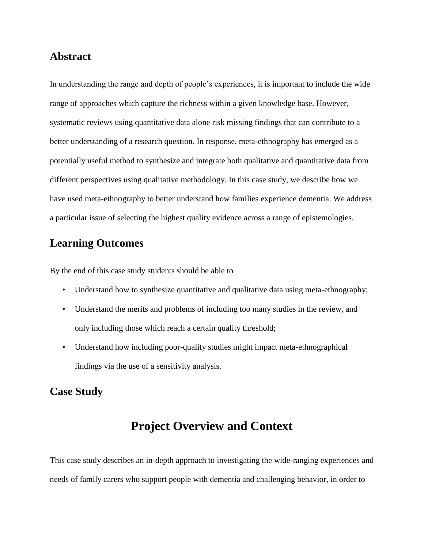## **Abstract**

In understanding the range and depth of people's experiences, it is important to include the wide range of approaches which capture the richness within a given knowledge base. However, systematic reviews using quantitative data alone risk missing findings that can contribute to a better understanding of a research question. In response, meta-ethnography has emerged as a potentially useful method to synthesize and integrate both qualitative and quantitative data from different perspectives using qualitative methodology. In this case study, we describe how we have used meta-ethnography to better understand how families experience dementia. We address a particular issue of selecting the highest quality evidence across a range of epistemologies.

## **Learning Outcomes**

By the end of this case study students should be able to

- Understand how to synthesize quantitative and qualitative data using meta-ethnography;
- Understand the merits and problems of including too many studies in the review, and only including those which reach a certain quality threshold;
- Understand how including poor-quality studies might impact meta-ethnographical findings via the use of a sensitivity analysis.

## **Case Study**

## **Project Overview and Context**

This case study describes an in-depth approach to investigating the wide-ranging experiences and needs of family carers who support people with dementia and challenging behavior, in order to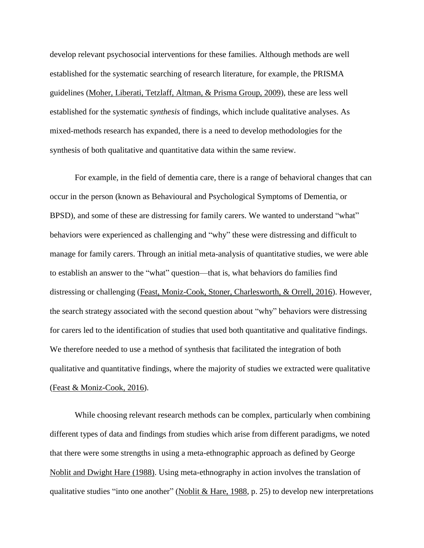develop relevant psychosocial interventions for these families. Although methods are well established for the systematic searching of research literature, for example, the PRISMA guidelines [\(Moher, Liberati, Tetzlaff, Altman, & Prisma Group, 2009\)](#page-27-0), these are less well established for the systematic *synthesis* of findings, which include qualitative analyses. As mixed-methods research has expanded, there is a need to develop methodologies for the synthesis of both qualitative and quantitative data within the same review.

For example, in the field of dementia care, there is a range of behavioral changes that can occur in the person (known as Behavioural and Psychological Symptoms of Dementia, or BPSD), and some of these are distressing for family carers. We wanted to understand "what" behaviors were experienced as challenging and "why" these were distressing and difficult to manage for family carers. Through an initial meta-analysis of quantitative studies, we were able to establish an answer to the "what" question—that is, what behaviors do families find distressing or challenging (Feast, [Moniz-Cook, Stoner, Charlesworth, & Orrell,](#page-2-0) 2016). However, the search strategy associated with the second question about "why" behaviors were distressing for carers led to the identification of studies that used both quantitative and qualitative findings. We therefore needed to use a method of synthesis that facilitated the integration of both qualitative and quantitative findings, where the majority of studies we extracted were qualitative (Feast [& Moniz-Cook,](#page-2-1) 2016).

While choosing relevant research methods can be complex, particularly when combining different types of data and findings from studies which arise from different paradigms, we noted that there were some strengths in using a meta-ethnographic approach as defined by George [Noblit and Dwight Hare \(1988\).](#page-28-0) Using meta-ethnography in action involves the translation of qualitative studies "into one another" [\(Noblit](#page-28-0) & Hare, 1988, p. 25) to develop new interpretations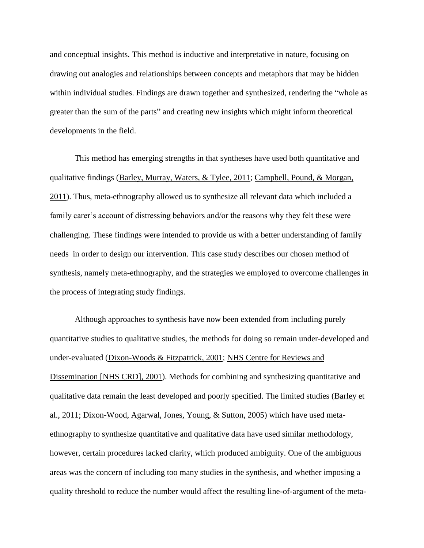and conceptual insights. This method is inductive and interpretative in nature, focusing on drawing out analogies and relationships between concepts and metaphors that may be hidden within individual studies. Findings are drawn together and synthesized, rendering the "whole as greater than the sum of the parts" and creating new insights which might inform theoretical developments in the field.

This method has emerging strengths in that syntheses have used both quantitative and qualitative findings (Barley, [Murray, Waters, & Tylee,](#page-25-0) 2011; Campbell, [Pound, & Morgan,](#page-25-1) [2011\)](#page-25-1). Thus, meta-ethnography allowed us to synthesize all relevant data which included a family carer's account of distressing behaviors and/or the reasons why they felt these were challenging. These findings were intended to provide us with a better understanding of family needs in order to design our intervention. This case study describes our chosen method of synthesis, namely meta-ethnography, and the strategies we employed to overcome challenges in the process of integrating study findings.

Although approaches to synthesis have now been extended from including purely quantitative studies to qualitative studies, the methods for doing so remain under-developed and under-evaluated [\(Dixon-Woods](#page-26-0) & Fitzpatrick, 2001; [NHS Centre for Reviews and](#page-27-1)  [Dissemination \[NHS CRD\], 2001\)](#page-27-1). Methods for combining and synthesizing quantitative and qualitative data remain the least developed and poorly specified. The limited studies [\(Barley](#page-25-0) et al., [2011;](#page-25-0) [Dixon-Wood, Agarwal, Jones, Young, & Sutton, 2005\)](#page-26-1) which have used metaethnography to synthesize quantitative and qualitative data have used similar methodology, however, certain procedures lacked clarity, which produced ambiguity. One of the ambiguous areas was the concern of including too many studies in the synthesis, and whether imposing a quality threshold to reduce the number would affect the resulting line-of-argument of the meta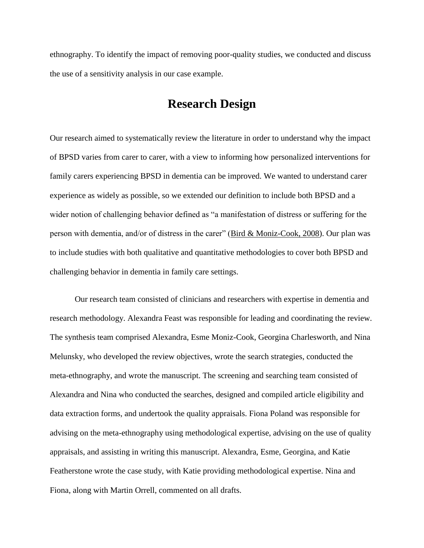ethnography. To identify the impact of removing poor-quality studies, we conducted and discuss the use of a sensitivity analysis in our case example.

## **Research Design**

Our research aimed to systematically review the literature in order to understand why the impact of BPSD varies from carer to carer, with a view to informing how personalized interventions for family carers experiencing BPSD in dementia can be improved. We wanted to understand carer experience as widely as possible, so we extended our definition to include both BPSD and a wider notion of challenging behavior defined as "a manifestation of distress or suffering for the person with dementia, and/or of distress in the carer" (Bird  $&$  [Moniz-Cook,](#page-25-2) 2008). Our plan was to include studies with both qualitative and quantitative methodologies to cover both BPSD and challenging behavior in dementia in family care settings.

Our research team consisted of clinicians and researchers with expertise in dementia and research methodology. Alexandra Feast was responsible for leading and coordinating the review. The synthesis team comprised Alexandra, Esme Moniz-Cook, Georgina Charlesworth, and Nina Melunsky, who developed the review objectives, wrote the search strategies, conducted the meta-ethnography, and wrote the manuscript. The screening and searching team consisted of Alexandra and Nina who conducted the searches, designed and compiled article eligibility and data extraction forms, and undertook the quality appraisals. Fiona Poland was responsible for advising on the meta-ethnography using methodological expertise, advising on the use of quality appraisals, and assisting in writing this manuscript. Alexandra, Esme, Georgina, and Katie Featherstone wrote the case study, with Katie providing methodological expertise. Nina and Fiona, along with Martin Orrell, commented on all drafts.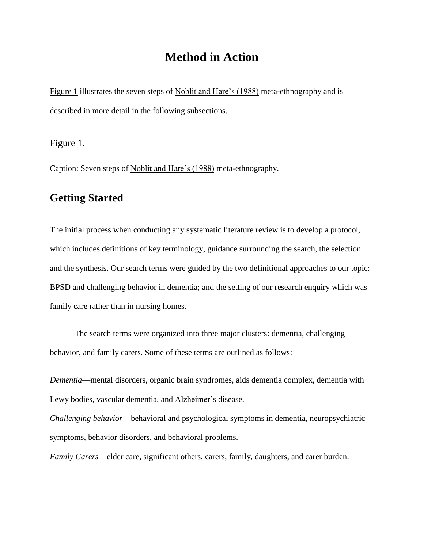## **Method in Action**

Figure 1 illustrates the seven steps of [Noblit and Hare's \(1988\)](#page-28-0) meta-ethnography and is described in more detail in the following subsections.

Figure 1.

Caption: Seven steps of [Noblit and Hare's \(1988\)](#page-28-0) meta-ethnography.

## **Getting Started**

The initial process when conducting any systematic literature review is to develop a protocol, which includes definitions of key terminology, guidance surrounding the search, the selection and the synthesis. Our search terms were guided by the two definitional approaches to our topic: BPSD and challenging behavior in dementia; and the setting of our research enquiry which was family care rather than in nursing homes.

The search terms were organized into three major clusters: dementia, challenging behavior, and family carers. Some of these terms are outlined as follows:

*Dementia*—mental disorders, organic brain syndromes, aids dementia complex, dementia with Lewy bodies, vascular dementia, and Alzheimer's disease.

*Challenging behavior*—behavioral and psychological symptoms in dementia, neuropsychiatric symptoms, behavior disorders, and behavioral problems.

*Family Carers*—elder care, significant others, carers, family, daughters, and carer burden.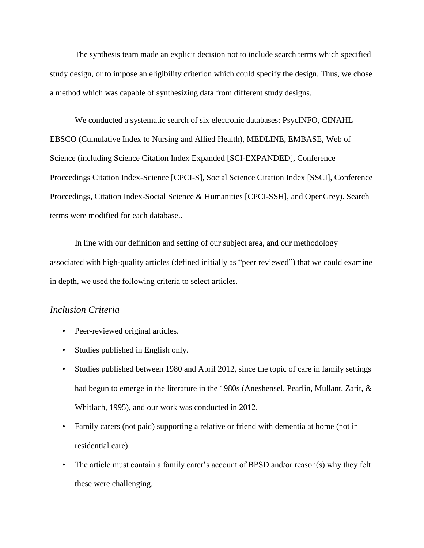The synthesis team made an explicit decision not to include search terms which specified study design, or to impose an eligibility criterion which could specify the design. Thus, we chose a method which was capable of synthesizing data from different study designs.

We conducted a systematic search of six electronic databases: PsycINFO, CINAHL EBSCO (Cumulative Index to Nursing and Allied Health), MEDLINE, EMBASE, Web of Science (including Science Citation Index Expanded [SCI-EXPANDED], Conference Proceedings Citation Index-Science [CPCI-S], Social Science Citation Index [SSCI], Conference Proceedings, Citation Index-Social Science & Humanities [CPCI-SSH], and OpenGrey). Search terms were modified for each database..

In line with our definition and setting of our subject area, and our methodology associated with high-quality articles (defined initially as "peer reviewed") that we could examine in depth, we used the following criteria to select articles.

#### *Inclusion Criteria*

- Peer-reviewed original articles.
- Studies published in English only.
- Studies published between 1980 and April 2012, since the topic of care in family settings had begun to emerge in the literature in the 1980s (Aneshensel, [Pearlin, Mullant, Zarit, &](#page-25-3)  [Whitlach,](#page-25-3) 1995), and our work was conducted in 2012.
- Family carers (not paid) supporting a relative or friend with dementia at home (not in residential care).
- The article must contain a family carer's account of BPSD and/or reason(s) why they felt these were challenging.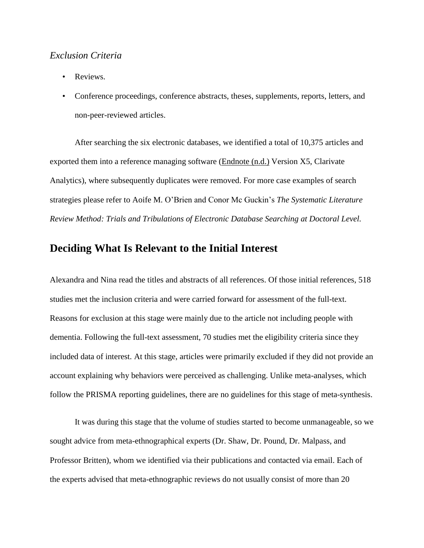#### *Exclusion Criteria*

- Reviews.
- Conference proceedings, conference abstracts, theses, supplements, reports, letters, and non-peer-reviewed articles.

After searching the six electronic databases, we identified a total of 10,375 articles and exported them into a reference managing software [\(Endnote \(n.d.\)](#page-26-2) Version X5, Clarivate Analytics), where subsequently duplicates were removed. For more case examples of search strategies please refer to Aoife M. O'Brien and Conor Mc Guckin's *The Systematic Literature Review Method: Trials and Tribulations of Electronic Database Searching at Doctoral Level.*

## **Deciding What Is Relevant to the Initial Interest**

Alexandra and Nina read the titles and abstracts of all references. Of those initial references, 518 studies met the inclusion criteria and were carried forward for assessment of the full-text. Reasons for exclusion at this stage were mainly due to the article not including people with dementia. Following the full-text assessment, 70 studies met the eligibility criteria since they included data of interest. At this stage, articles were primarily excluded if they did not provide an account explaining why behaviors were perceived as challenging. Unlike meta-analyses, which follow the PRISMA reporting guidelines, there are no guidelines for this stage of meta-synthesis.

It was during this stage that the volume of studies started to become unmanageable, so we sought advice from meta-ethnographical experts (Dr. Shaw, Dr. Pound, Dr. Malpass, and Professor Britten), whom we identified via their publications and contacted via email. Each of the experts advised that meta-ethnographic reviews do not usually consist of more than 20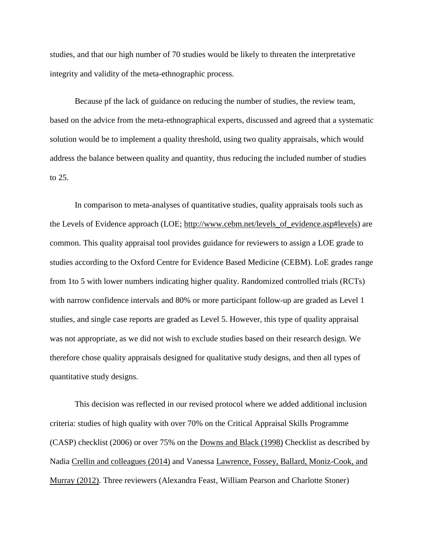studies, and that our high number of 70 studies would be likely to threaten the interpretative integrity and validity of the meta-ethnographic process.

Because pf the lack of guidance on reducing the number of studies, the review team, based on the advice from the meta-ethnographical experts, discussed and agreed that a systematic solution would be to implement a quality threshold, using two quality appraisals, which would address the balance between quality and quantity, thus reducing the included number of studies to 25.

In comparison to meta-analyses of quantitative studies, quality appraisals tools such as the Levels of Evidence approach (LOE; [http://www.cebm.net/levels\\_of\\_evidence.asp#levels\)](http://www.cebm.net/levels_of_evidence.asp#levels) are common. This quality appraisal tool provides guidance for reviewers to assign a LOE grade to studies according to the Oxford Centre for Evidence Based Medicine (CEBM). LoE grades range from 1to 5 with lower numbers indicating higher quality. Randomized controlled trials (RCTs) with narrow confidence intervals and 80% or more participant follow-up are graded as Level 1 studies, and single case reports are graded as Level 5. However, this type of quality appraisal was not appropriate, as we did not wish to exclude studies based on their research design. We therefore chose quality appraisals designed for qualitative study designs, and then all types of quantitative study designs.

This decision was reflected in our revised protocol where we added additional inclusion criteria: studies of high quality with over 70% on the Critical Appraisal Skills Programme (CASP) checklist (2006) or over 75% on the [Downs and Black \(1998\)](#page-26-3) Checklist as described by Nadia [Crellin and colleagues \(2014\)](#page-25-4) and Vanessa [Lawrence, Fossey, Ballard, Moniz-Cook, and](#page-27-2)  [Murray](#page-27-2) (2012). Three reviewers (Alexandra Feast, William Pearson and Charlotte Stoner)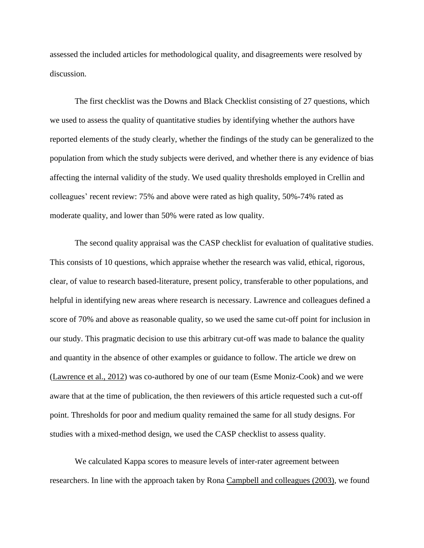assessed the included articles for methodological quality, and disagreements were resolved by discussion.

The first checklist was the Downs and Black Checklist consisting of 27 questions, which we used to assess the quality of quantitative studies by identifying whether the authors have reported elements of the study clearly, whether the findings of the study can be generalized to the population from which the study subjects were derived, and whether there is any evidence of bias affecting the internal validity of the study. We used quality thresholds employed in Crellin and colleagues' recent review: 75% and above were rated as high quality, 50%-74% rated as moderate quality, and lower than 50% were rated as low quality.

The second quality appraisal was the CASP checklist for evaluation of qualitative studies. This consists of 10 questions, which appraise whether the research was valid, ethical, rigorous, clear, of value to research based-literature, present policy, transferable to other populations, and helpful in identifying new areas where research is necessary. Lawrence and colleagues defined a score of 70% and above as reasonable quality, so we used the same cut-off point for inclusion in our study. This pragmatic decision to use this arbitrary cut-off was made to balance the quality and quantity in the absence of other examples or guidance to follow. The article we drew on [\(Lawrence](#page-27-2) et al., 2012) was co-authored by one of our team (Esme Moniz-Cook) and we were aware that at the time of publication, the then reviewers of this article requested such a cut-off point. Thresholds for poor and medium quality remained the same for all study designs. For studies with a mixed-method design, we used the CASP checklist to assess quality.

We calculated Kappa scores to measure levels of inter-rater agreement between researchers. In line with the approach taken by Rona Campbell [and colleagues \(2003\),](#page-25-5) we found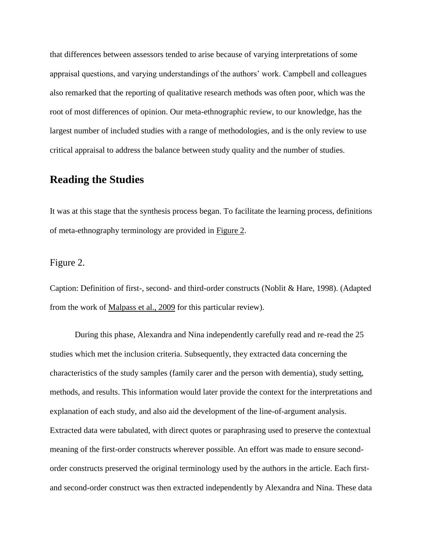that differences between assessors tended to arise because of varying interpretations of some appraisal questions, and varying understandings of the authors' work. Campbell and colleagues also remarked that the reporting of qualitative research methods was often poor, which was the root of most differences of opinion. Our meta-ethnographic review, to our knowledge, has the largest number of included studies with a range of methodologies, and is the only review to use critical appraisal to address the balance between study quality and the number of studies.

#### **Reading the Studies**

It was at this stage that the synthesis process began. To facilitate the learning process, definitions of meta-ethnography terminology are provided in Figure 2.

#### Figure 2.

Caption: Definition of first-, second- and third-order constructs (Noblit & Hare, 1998). (Adapted from the work of [Malpass](#page-27-3) et al., 2009 for this particular review).

During this phase, Alexandra and Nina independently carefully read and re-read the 25 studies which met the inclusion criteria. Subsequently, they extracted data concerning the characteristics of the study samples (family carer and the person with dementia), study setting, methods, and results. This information would later provide the context for the interpretations and explanation of each study, and also aid the development of the line-of-argument analysis. Extracted data were tabulated, with direct quotes or paraphrasing used to preserve the contextual meaning of the first-order constructs wherever possible. An effort was made to ensure secondorder constructs preserved the original terminology used by the authors in the article. Each firstand second-order construct was then extracted independently by Alexandra and Nina. These data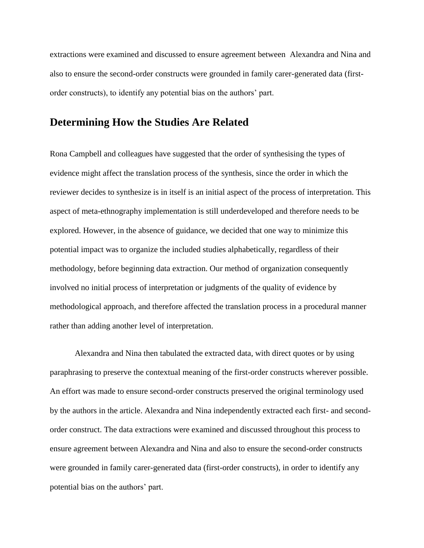extractions were examined and discussed to ensure agreement between Alexandra and Nina and also to ensure the second-order constructs were grounded in family carer-generated data (firstorder constructs), to identify any potential bias on the authors' part.

#### **Determining How the Studies Are Related**

Rona Campbell and colleagues have suggested that the order of synthesising the types of evidence might affect the translation process of the synthesis, since the order in which the reviewer decides to synthesize is in itself is an initial aspect of the process of interpretation. This aspect of meta-ethnography implementation is still underdeveloped and therefore needs to be explored. However, in the absence of guidance, we decided that one way to minimize this potential impact was to organize the included studies alphabetically, regardless of their methodology, before beginning data extraction. Our method of organization consequently involved no initial process of interpretation or judgments of the quality of evidence by methodological approach, and therefore affected the translation process in a procedural manner rather than adding another level of interpretation.

Alexandra and Nina then tabulated the extracted data, with direct quotes or by using paraphrasing to preserve the contextual meaning of the first-order constructs wherever possible. An effort was made to ensure second-order constructs preserved the original terminology used by the authors in the article. Alexandra and Nina independently extracted each first- and secondorder construct. The data extractions were examined and discussed throughout this process to ensure agreement between Alexandra and Nina and also to ensure the second-order constructs were grounded in family carer-generated data (first-order constructs), in order to identify any potential bias on the authors' part.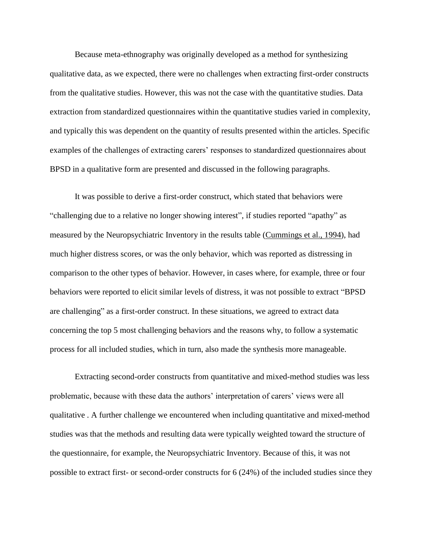Because meta-ethnography was originally developed as a method for synthesizing qualitative data, as we expected, there were no challenges when extracting first-order constructs from the qualitative studies. However, this was not the case with the quantitative studies. Data extraction from standardized questionnaires within the quantitative studies varied in complexity, and typically this was dependent on the quantity of results presented within the articles. Specific examples of the challenges of extracting carers' responses to standardized questionnaires about BPSD in a qualitative form are presented and discussed in the following paragraphs.

It was possible to derive a first-order construct, which stated that behaviors were "challenging due to a relative no longer showing interest", if studies reported "apathy" as measured by the Neuropsychiatric Inventory in the results table [\(Cummings](#page-26-4) et al., 1994), had much higher distress scores, or was the only behavior, which was reported as distressing in comparison to the other types of behavior. However, in cases where, for example, three or four behaviors were reported to elicit similar levels of distress, it was not possible to extract "BPSD are challenging" as a first-order construct. In these situations, we agreed to extract data concerning the top 5 most challenging behaviors and the reasons why, to follow a systematic process for all included studies, which in turn, also made the synthesis more manageable.

Extracting second-order constructs from quantitative and mixed-method studies was less problematic, because with these data the authors' interpretation of carers' views were all qualitative . A further challenge we encountered when including quantitative and mixed-method studies was that the methods and resulting data were typically weighted toward the structure of the questionnaire, for example, the Neuropsychiatric Inventory. Because of this, it was not possible to extract first- or second-order constructs for 6 (24%) of the included studies since they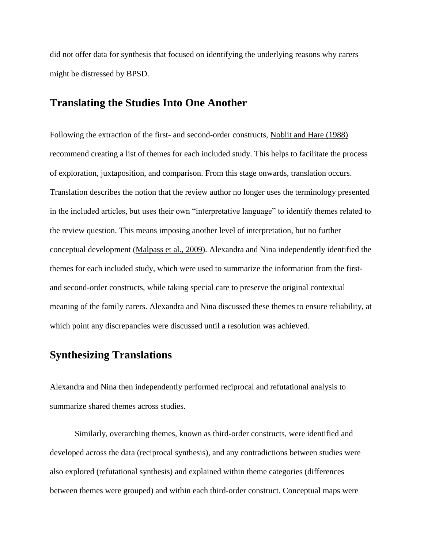did not offer data for synthesis that focused on identifying the underlying reasons why carers might be distressed by BPSD.

#### **Translating the Studies Into One Another**

Following the extraction of the first- and second-order constructs, [Noblit](#page-28-0) and Hare (1988) recommend creating a list of themes for each included study. This helps to facilitate the process of exploration, juxtaposition, and comparison. From this stage onwards, translation occurs. Translation describes the notion that the review author no longer uses the terminology presented in the included articles, but uses their own "interpretative language" to identify themes related to the review question. This means imposing another level of interpretation, but no further conceptual development [\(Malpass](#page-27-3) et al., 2009). Alexandra and Nina independently identified the themes for each included study, which were used to summarize the information from the firstand second-order constructs, while taking special care to preserve the original contextual meaning of the family carers. Alexandra and Nina discussed these themes to ensure reliability, at which point any discrepancies were discussed until a resolution was achieved.

## **Synthesizing Translations**

Alexandra and Nina then independently performed reciprocal and refutational analysis to summarize shared themes across studies.

Similarly, overarching themes, known as third-order constructs, were identified and developed across the data (reciprocal synthesis), and any contradictions between studies were also explored (refutational synthesis) and explained within theme categories (differences between themes were grouped) and within each third-order construct. Conceptual maps were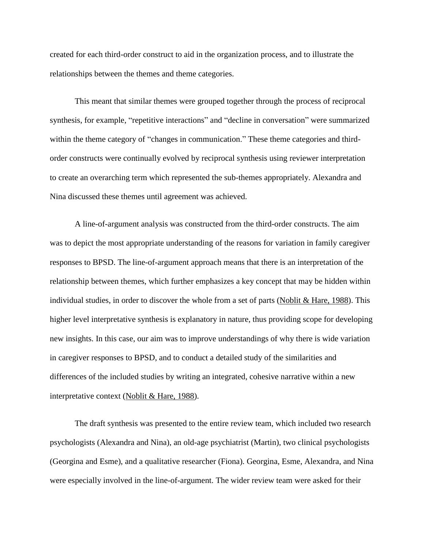created for each third-order construct to aid in the organization process, and to illustrate the relationships between the themes and theme categories.

This meant that similar themes were grouped together through the process of reciprocal synthesis, for example, "repetitive interactions" and "decline in conversation" were summarized within the theme category of "changes in communication." These theme categories and thirdorder constructs were continually evolved by reciprocal synthesis using reviewer interpretation to create an overarching term which represented the sub-themes appropriately. Alexandra and Nina discussed these themes until agreement was achieved.

A line-of-argument analysis was constructed from the third-order constructs. The aim was to depict the most appropriate understanding of the reasons for variation in family caregiver responses to BPSD. The line-of-argument approach means that there is an interpretation of the relationship between themes, which further emphasizes a key concept that may be hidden within individual studies, in order to discover the whole from a set of parts [\(Noblit](#page-28-0) & Hare, 1988). This higher level interpretative synthesis is explanatory in nature, thus providing scope for developing new insights. In this case, our aim was to improve understandings of why there is wide variation in caregiver responses to BPSD, and to conduct a detailed study of the similarities and differences of the included studies by writing an integrated, cohesive narrative within a new interpretative context [\(Noblit](#page-28-0) & Hare, 1988).

The draft synthesis was presented to the entire review team, which included two research psychologists (Alexandra and Nina), an old-age psychiatrist (Martin), two clinical psychologists (Georgina and Esme), and a qualitative researcher (Fiona). Georgina, Esme, Alexandra, and Nina were especially involved in the line-of-argument. The wider review team were asked for their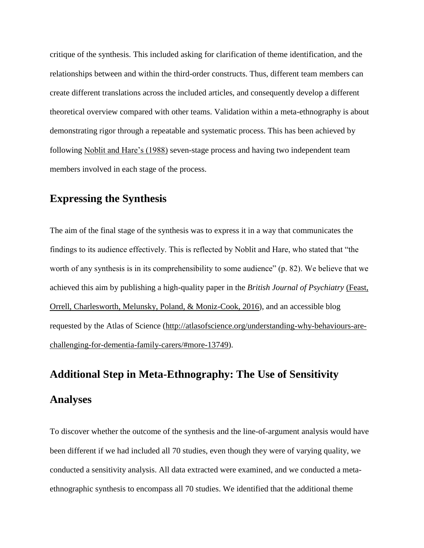critique of the synthesis. This included asking for clarification of theme identification, and the relationships between and within the third-order constructs. Thus, different team members can create different translations across the included articles, and consequently develop a different theoretical overview compared with other teams. Validation within a meta-ethnography is about demonstrating rigor through a repeatable and systematic process. This has been achieved by following [Noblit and Hare's \(1988\)](#page-28-0) seven-stage process and having two independent team members involved in each stage of the process.

## **Expressing the Synthesis**

The aim of the final stage of the synthesis was to express it in a way that communicates the findings to its audience effectively. This is reflected by Noblit and Hare, who stated that "the worth of any synthesis is in its comprehensibility to some audience" (p. 82). We believe that we achieved this aim by publishing a high-quality paper in the *British Journal of Psychiatry* [\(Feast,](#page-2-1)  [Orrell, Charlesworth, Melunsky, Poland, & Moniz-Cook, 2016\)](#page-2-1), and an accessible blog requested by the Atlas of Science [\(http://atlasofscience.org/understanding-why-behaviours-are](http://atlasofscience.org/understanding-why-behaviours-are-challenging-for-dementia-family-carers/#more-13749)[challenging-for-dementia-family-carers/#more-13749\)](http://atlasofscience.org/understanding-why-behaviours-are-challenging-for-dementia-family-carers/#more-13749).

## **Additional Step in Meta-Ethnography: The Use of Sensitivity Analyses**

To discover whether the outcome of the synthesis and the line-of-argument analysis would have been different if we had included all 70 studies, even though they were of varying quality, we conducted a sensitivity analysis. All data extracted were examined, and we conducted a metaethnographic synthesis to encompass all 70 studies. We identified that the additional theme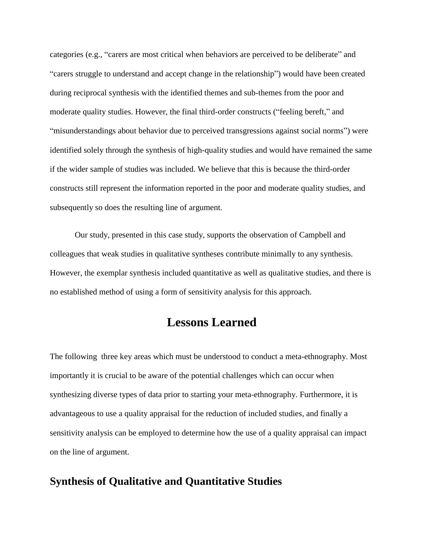categories (e.g., "carers are most critical when behaviors are perceived to be deliberate" and "carers struggle to understand and accept change in the relationship") would have been created during reciprocal synthesis with the identified themes and sub-themes from the poor and moderate quality studies. However, the final third-order constructs ("feeling bereft," and "misunderstandings about behavior due to perceived transgressions against social norms") were identified solely through the synthesis of high-quality studies and would have remained the same if the wider sample of studies was included. We believe that this is because the third-order constructs still represent the information reported in the poor and moderate quality studies, and subsequently so does the resulting line of argument.

Our study, presented in this case study, supports the observation of Campbell and colleagues that weak studies in qualitative syntheses contribute minimally to any synthesis. However, the exemplar synthesis included quantitative as well as qualitative studies, and there is no established method of using a form of sensitivity analysis for this approach.

## **Lessons Learned**

The following three key areas which must be understood to conduct a meta-ethnography. Most importantly it is crucial to be aware of the potential challenges which can occur when synthesizing diverse types of data prior to starting your meta-ethnography. Furthermore, it is advantageous to use a quality appraisal for the reduction of included studies, and finally a sensitivity analysis can be employed to determine how the use of a quality appraisal can impact on the line of argument.

## **Synthesis of Qualitative and Quantitative Studies**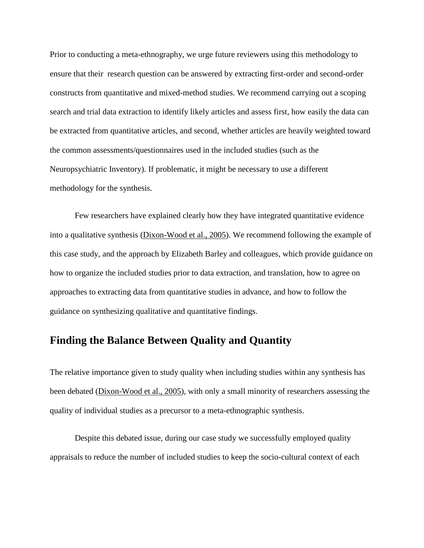Prior to conducting a meta-ethnography, we urge future reviewers using this methodology to ensure that their research question can be answered by extracting first-order and second-order constructs from quantitative and mixed-method studies. We recommend carrying out a scoping search and trial data extraction to identify likely articles and assess first, how easily the data can be extracted from quantitative articles, and second, whether articles are heavily weighted toward the common assessments/questionnaires used in the included studies (such as the Neuropsychiatric Inventory). If problematic, it might be necessary to use a different methodology for the synthesis.

Few researchers have explained clearly how they have integrated quantitative evidence into a qualitative synthesis [\(Dixon-Wood et al., 2005\)](#page-26-1). We recommend following the example of this case study, and the approach by Elizabeth Barley and colleagues, which provide guidance on how to organize the included studies prior to data extraction, and translation, how to agree on approaches to extracting data from quantitative studies in advance, and how to follow the guidance on synthesizing qualitative and quantitative findings.

## **Finding the Balance Between Quality and Quantity**

The relative importance given to study quality when including studies within any synthesis has been debated [\(Dixon-Wood et al., 2005\)](#page-26-1), with only a small minority of researchers assessing the quality of individual studies as a precursor to a meta-ethnographic synthesis.

Despite this debated issue, during our case study we successfully employed quality appraisals to reduce the number of included studies to keep the socio-cultural context of each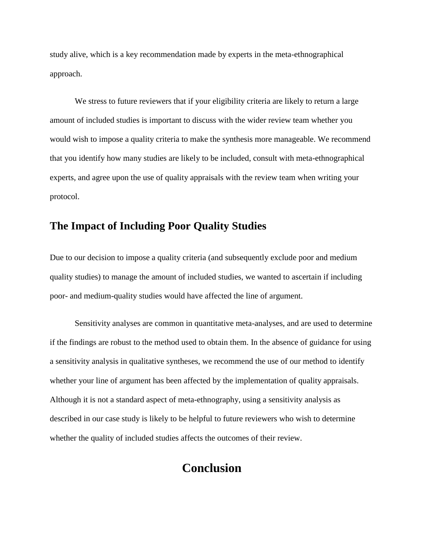study alive, which is a key recommendation made by experts in the meta-ethnographical approach.

We stress to future reviewers that if your eligibility criteria are likely to return a large amount of included studies is important to discuss with the wider review team whether you would wish to impose a quality criteria to make the synthesis more manageable. We recommend that you identify how many studies are likely to be included, consult with meta-ethnographical experts, and agree upon the use of quality appraisals with the review team when writing your protocol.

## **The Impact of Including Poor Quality Studies**

Due to our decision to impose a quality criteria (and subsequently exclude poor and medium quality studies) to manage the amount of included studies, we wanted to ascertain if including poor- and medium-quality studies would have affected the line of argument.

Sensitivity analyses are common in quantitative meta-analyses, and are used to determine if the findings are robust to the method used to obtain them. In the absence of guidance for using a sensitivity analysis in qualitative syntheses, we recommend the use of our method to identify whether your line of argument has been affected by the implementation of quality appraisals. Although it is not a standard aspect of meta-ethnography, using a sensitivity analysis as described in our case study is likely to be helpful to future reviewers who wish to determine whether the quality of included studies affects the outcomes of their review.

## **Conclusion**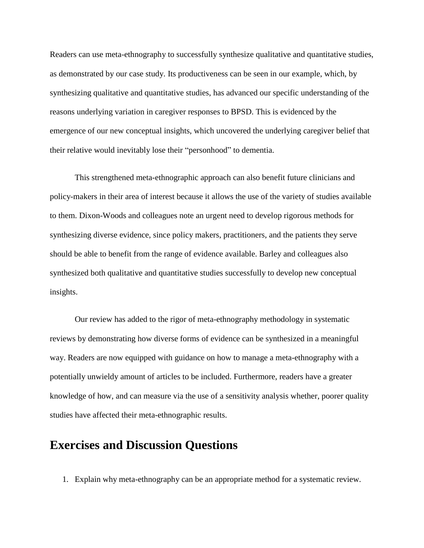Readers can use meta-ethnography to successfully synthesize qualitative and quantitative studies, as demonstrated by our case study. Its productiveness can be seen in our example, which, by synthesizing qualitative and quantitative studies, has advanced our specific understanding of the reasons underlying variation in caregiver responses to BPSD. This is evidenced by the emergence of our new conceptual insights, which uncovered the underlying caregiver belief that their relative would inevitably lose their "personhood" to dementia.

This strengthened meta-ethnographic approach can also benefit future clinicians and policy-makers in their area of interest because it allows the use of the variety of studies available to them. Dixon-Woods and colleagues note an urgent need to develop rigorous methods for synthesizing diverse evidence, since policy makers, practitioners, and the patients they serve should be able to benefit from the range of evidence available. Barley and colleagues also synthesized both qualitative and quantitative studies successfully to develop new conceptual insights.

Our review has added to the rigor of meta-ethnography methodology in systematic reviews by demonstrating how diverse forms of evidence can be synthesized in a meaningful way. Readers are now equipped with guidance on how to manage a meta-ethnography with a potentially unwieldy amount of articles to be included. Furthermore, readers have a greater knowledge of how, and can measure via the use of a sensitivity analysis whether, poorer quality studies have affected their meta-ethnographic results.

## **Exercises and Discussion Questions**

1. Explain why meta-ethnography can be an appropriate method for a systematic review.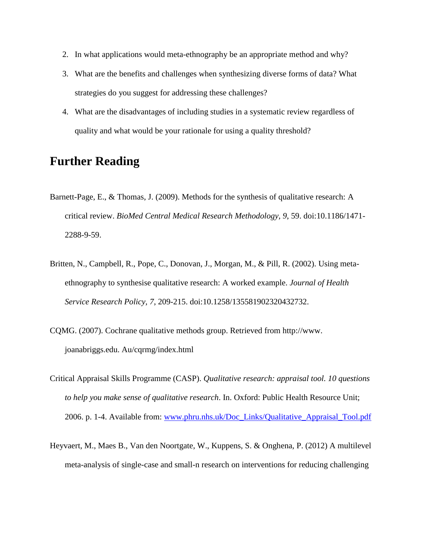- 2. In what applications would meta-ethnography be an appropriate method and why?
- 3. What are the benefits and challenges when synthesizing diverse forms of data? What strategies do you suggest for addressing these challenges?
- 4. What are the disadvantages of including studies in a systematic review regardless of quality and what would be your rationale for using a quality threshold?

## **Further Reading**

- Barnett-Page, E., & Thomas, J. (2009). Methods for the synthesis of qualitative research: A critical review. *BioMed Central Medical Research Methodology, 9*, 59. doi:10.1186/1471- 2288-9-59.
- Britten, N., Campbell, R., Pope, C., Donovan, J., Morgan, M., & Pill, R. (2002). Using metaethnography to synthesise qualitative research: A worked example. *Journal of Health Service Research Policy, 7*, 209-215. doi:10.1258/135581902320432732.
- CQMG. (2007). Cochrane qualitative methods group. Retrieved from [http://www.](http://www/) joanabriggs.edu. Au/cqrmg/index.html
- Critical Appraisal Skills Programme (CASP). *Qualitative research: appraisal tool. 10 questions to help you make sense of qualitative research*. In. Oxford: Public Health Resource Unit; 2006. p. 1-4. Available from: [www.phru.nhs.uk/Doc\\_Links/Qualitative\\_Appraisal\\_Tool.pdf](http://www.phru.nhs.uk/Doc_Links/Qualitative%20Appraisal%20Tool.pdf)
- Heyvaert, M., Maes B., Van den Noortgate, W., Kuppens, S. & Onghena, P. (2012) A multilevel meta-analysis of single-case and small-n research on interventions for reducing challenging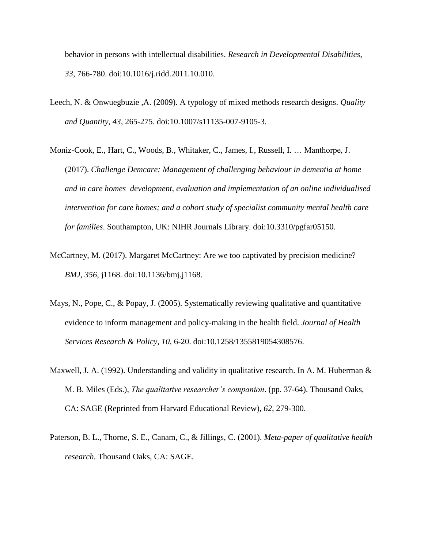behavior in persons with intellectual disabilities. *Research in Developmental Disabilities, 33*, 766-780. doi:10.1016/j.ridd.2011.10.010.

- Leech, N. & Onwuegbuzie ,A. (2009). A typology of mixed methods research designs. *Quality and Quantity, 43*, 265-275. doi:10.1007/s11135-007-9105-3.
- Moniz-Cook, E., Hart, C., Woods, B., Whitaker, C., James, I., Russell, I. … Manthorpe, J. (2017). *Challenge Demcare: Management of challenging behaviour in dementia at home and in care homes–development, evaluation and implementation of an online individualised intervention for care homes; and a cohort study of specialist community mental health care for families*. Southampton, UK: NIHR Journals Library. doi:10.3310/pgfar05150.
- McCartney, M. (2017). Margaret McCartney: Are we too captivated by precision medicine? *BMJ, 356*, j1168. doi:10.1136/bmj.j1168.
- Mays, N., Pope, C., & Popay, J. (2005). Systematically reviewing qualitative and quantitative evidence to inform management and policy-making in the health field. *Journal of Health Services Research & Policy, 10*, 6-20. doi:10.1258/1355819054308576.
- Maxwell, J. A. (1992). Understanding and validity in qualitative research. In A. M. Huberman  $\&$ M. B. Miles (Eds.), *The qualitative researcher's companion*. (pp. 37-64). Thousand Oaks, CA: SAGE (Reprinted from Harvard Educational Review), *62*, 279-300.
- Paterson, B. L., Thorne, S. E., Canam, C., & Jillings, C. (2001). *Meta-paper of qualitative health research*. Thousand Oaks, CA: SAGE.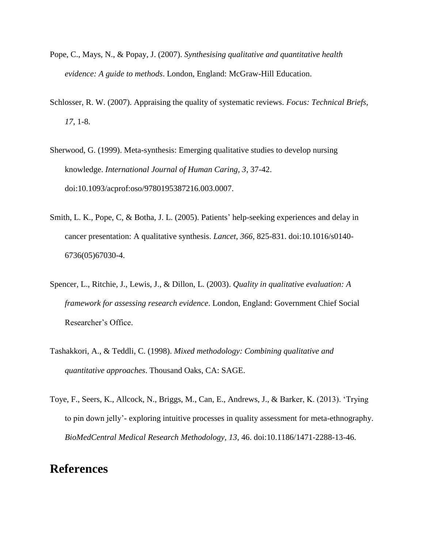- Pope, C., Mays, N., & Popay, J. (2007). *Synthesising qualitative and quantitative health evidence: A guide to methods*. London, England: McGraw-Hill Education.
- Schlosser, R. W. (2007). Appraising the quality of systematic reviews. *Focus: Technical Briefs, 17*, 1-8.
- Sherwood, G. (1999). Meta-synthesis: Emerging qualitative studies to develop nursing knowledge. *International Journal of Human Caring, 3*, 37-42. doi:10.1093/acprof:oso/9780195387216.003.0007.
- Smith, L. K., Pope, C, & Botha, J. L. (2005). Patients' help-seeking experiences and delay in cancer presentation: A qualitative synthesis. *Lancet, 366*, 825-831. doi:10.1016/s0140- 6736(05)67030-4.
- Spencer, L., Ritchie, J., Lewis, J., & Dillon, L. (2003). *Quality in qualitative evaluation: A framework for assessing research evidence*. London, England: Government Chief Social Researcher's Office.
- Tashakkori, A., & Teddli, C. (1998). *Mixed methodology: Combining qualitative and quantitative approaches*. Thousand Oaks, CA: SAGE.
- Toye, F., Seers, K., Allcock, N., Briggs, M., Can, E., Andrews, J., & Barker, K. (2013). 'Trying to pin down jelly'- exploring intuitive processes in quality assessment for meta-ethnography. *BioMedCentral Medical Research Methodology, 13*, 46. doi:10.1186/1471-2288-13-46.

## **References**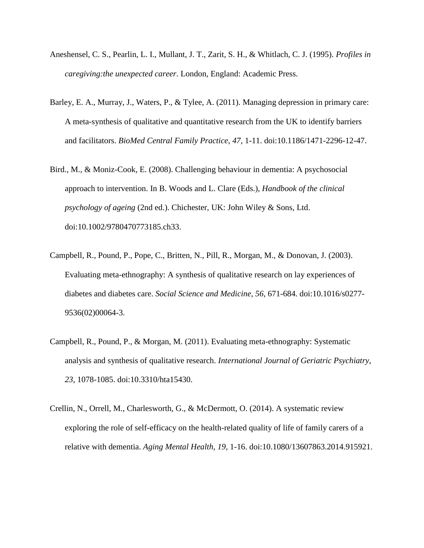- <span id="page-25-3"></span>Aneshensel, C. S., Pearlin, L. I., Mullant, J. T., Zarit, S. H., & Whitlach, C. J. (1995). *Profiles in caregiving:the unexpected career*. London, England: Academic Press.
- <span id="page-25-0"></span>Barley, E. A., Murray, J., Waters, P., & Tylee, A. (2011). Managing depression in primary care: A meta-synthesis of qualitative and quantitative research from the UK to identify barriers and facilitators. *BioMed Central Family Practice*, *47*, 1-11. doi:10.1186/1471-2296-12-47.
- <span id="page-25-2"></span>Bird., M., & Moniz-Cook, E. (2008). Challenging behaviour in dementia: A psychosocial approach to intervention. In B. Woods and L. Clare (Eds.), *Handbook of the clinical psychology of ageing* (2nd ed.). Chichester, UK: John Wiley & Sons, Ltd. doi:10.1002/9780470773185.ch33.
- <span id="page-25-5"></span>Campbell, R., Pound, P., Pope, C., Britten, N., Pill, R., Morgan, M., & Donovan, J. (2003). Evaluating meta-ethnography: A synthesis of qualitative research on lay experiences of diabetes and diabetes care. *Social Science and Medicine, 56,* 671-684. doi:10.1016/s0277- 9536(02)00064-3.
- <span id="page-25-1"></span>Campbell, R., Pound, P., & Morgan, M. (2011). Evaluating meta-ethnography: Systematic analysis and synthesis of qualitative research. *International Journal of Geriatric Psychiatry, 23*, 1078-1085. doi:10.3310/hta15430.
- <span id="page-25-4"></span>Crellin, N., Orrell, M., Charlesworth, G., & McDermott, O. (2014). A systematic review exploring the role of self-efficacy on the health-related quality of life of family carers of a relative with dementia. *Aging Mental Health, 19*, 1-16. doi:10.1080/13607863.2014.915921.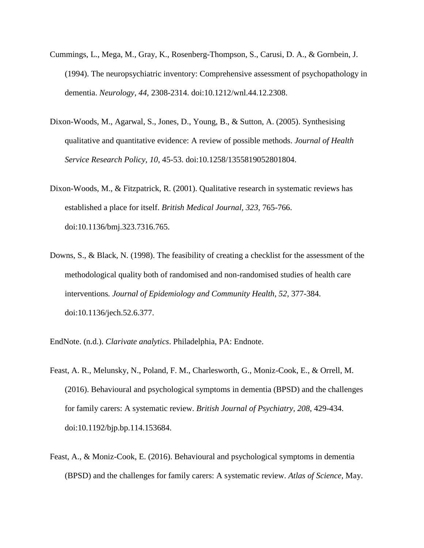- <span id="page-26-4"></span>Cummings, L., Mega, M., Gray, K., Rosenberg-Thompson, S., Carusi, D. A., & Gornbein, J. (1994). The neuropsychiatric inventory: Comprehensive assessment of psychopathology in dementia. *Neurology, 44*, 2308-2314. doi:10.1212/wnl.44.12.2308.
- <span id="page-26-1"></span>Dixon-Woods, M., Agarwal, S., Jones, D., Young, B., & Sutton, A. (2005). Synthesising qualitative and quantitative evidence: A review of possible methods. *Journal of Health Service Research Policy, 10*, 45-53. doi:10.1258/1355819052801804.
- <span id="page-26-0"></span>Dixon-Woods, M., & Fitzpatrick, R. (2001). Qualitative research in systematic reviews has established a place for itself. *British Medical Journal, 323*, 765-766. doi:10.1136/bmj.323.7316.765.
- <span id="page-26-3"></span>Downs, S., & Black, N. (1998). The feasibility of creating a checklist for the assessment of the methodological quality both of randomised and non-randomised studies of health care interventions*. Journal of Epidemiology and Community Health, 52*, 377-384. doi:10.1136/jech.52.6.377.
- <span id="page-26-2"></span>EndNote. (n.d.). *Clarivate analytics*. Philadelphia, PA: Endnote.
- Feast, A. R., Melunsky, N., Poland, F. M., Charlesworth, G., Moniz-Cook, E., & Orrell, M. (2016). Behavioural and psychological symptoms in dementia (BPSD) and the challenges for family carers: A systematic review. *British Journal of Psychiatry, 208*, 429-434. doi:10.1192/bjp.bp.114.153684.
- Feast, A., & Moniz-Cook, E. (2016). Behavioural and psychological symptoms in dementia (BPSD) and the challenges for family carers: A systematic review. *Atlas of Science,* [May.](http://atlasofscience.org/understanding-why-behaviours-are-challenging-for-dementia-family-carers/#more-13749)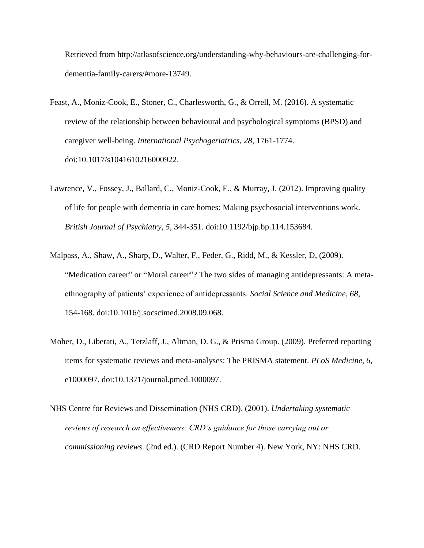Retrieved from [http://atlasofscience.org/understanding-why-behaviours-are-challenging-for](http://atlasofscience.org/understanding-why-behaviours-are-challenging-for-dementia-family-carers/#more-13749)[dementia-family-carers/#more-13749.](http://atlasofscience.org/understanding-why-behaviours-are-challenging-for-dementia-family-carers/#more-13749)

- Feast, A., Moniz-Cook, E., Stoner, C., Charlesworth, G., & Orrell, M. (2016). A systematic review of the relationship between behavioural and psychological symptoms (BPSD) and caregiver well-being. *International Psychogeriatrics, 28*, 1761-1774. doi:10.1017/s1041610216000922.
- <span id="page-27-2"></span>Lawrence, V., Fossey, J., Ballard, C., Moniz-Cook, E., & Murray, J. (2012). Improving quality of life for people with dementia in care homes: Making psychosocial interventions work. *British Journal of Psychiatry, 5*, 344-351. doi:10.1192/bjp.bp.114.153684.
- <span id="page-27-3"></span>Malpass, A., Shaw, A., Sharp, D., Walter, F., Feder, G., Ridd, M., & Kessler, D, (2009). "Medication career" or "Moral career"? The two sides of managing antidepressants: A metaethnography of patients' experience of antidepressants. *Social Science and Medicine, 68*, 154-168. doi:10.1016/j.socscimed.2008.09.068.
- <span id="page-27-0"></span>Moher, D., Liberati, A., Tetzlaff, J., Altman, D. G., & Prisma Group. (2009). Preferred reporting items for systematic reviews and meta-analyses: The PRISMA statement. *PLoS Medicine, 6*, e1000097. doi:10.1371/journal.pmed.1000097.
- <span id="page-27-1"></span>NHS Centre for Reviews and Dissemination (NHS CRD). (2001). *Undertaking systematic reviews of research on effectiveness: CRD's guidance for those carrying out or commissioning reviews*. (2nd ed.). (CRD Report Number 4). New York, NY: NHS CRD.